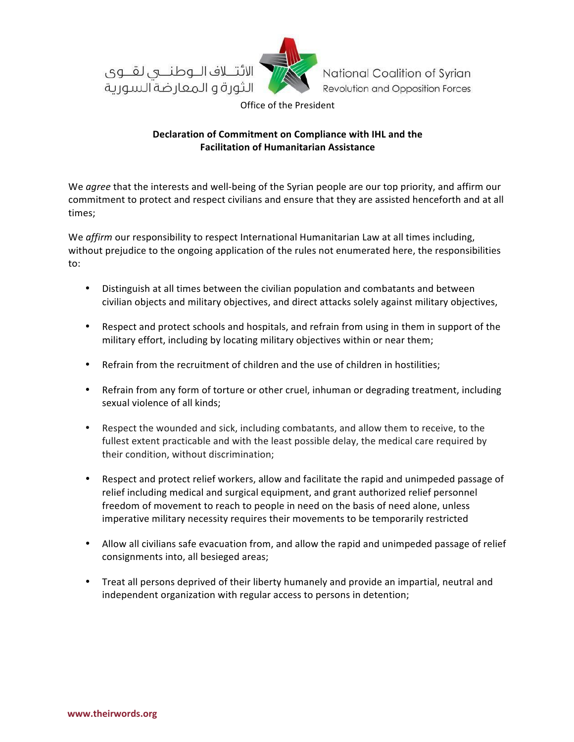



National Coalition of Syrian Revolution and Opposition Forces

Office of the President

## Declaration of Commitment on Compliance with IHL and the **Facilitation of Humanitarian Assistance**

We *agree* that the interests and well-being of the Syrian people are our top priority, and affirm our commitment to protect and respect civilians and ensure that they are assisted henceforth and at all times;

We *affirm* our responsibility to respect International Humanitarian Law at all times including, without prejudice to the ongoing application of the rules not enumerated here, the responsibilities to:

- Distinguish at all times between the civilian population and combatants and between civilian objects and military objectives, and direct attacks solely against military objectives,
- Respect and protect schools and hospitals, and refrain from using in them in support of the military effort, including by locating military objectives within or near them;
- Refrain from the recruitment of children and the use of children in hostilities;
- Refrain from any form of torture or other cruel, inhuman or degrading treatment, including sexual violence of all kinds;
- Respect the wounded and sick, including combatants, and allow them to receive, to the fullest extent practicable and with the least possible delay, the medical care required by their condition, without discrimination;
- Respect and protect relief workers, allow and facilitate the rapid and unimpeded passage of relief including medical and surgical equipment, and grant authorized relief personnel freedom of movement to reach to people in need on the basis of need alone, unless imperative military necessity requires their movements to be temporarily restricted
- Allow all civilians safe evacuation from, and allow the rapid and unimpeded passage of relief consignments into, all besieged areas;
- Treat all persons deprived of their liberty humanely and provide an impartial, neutral and independent organization with regular access to persons in detention;